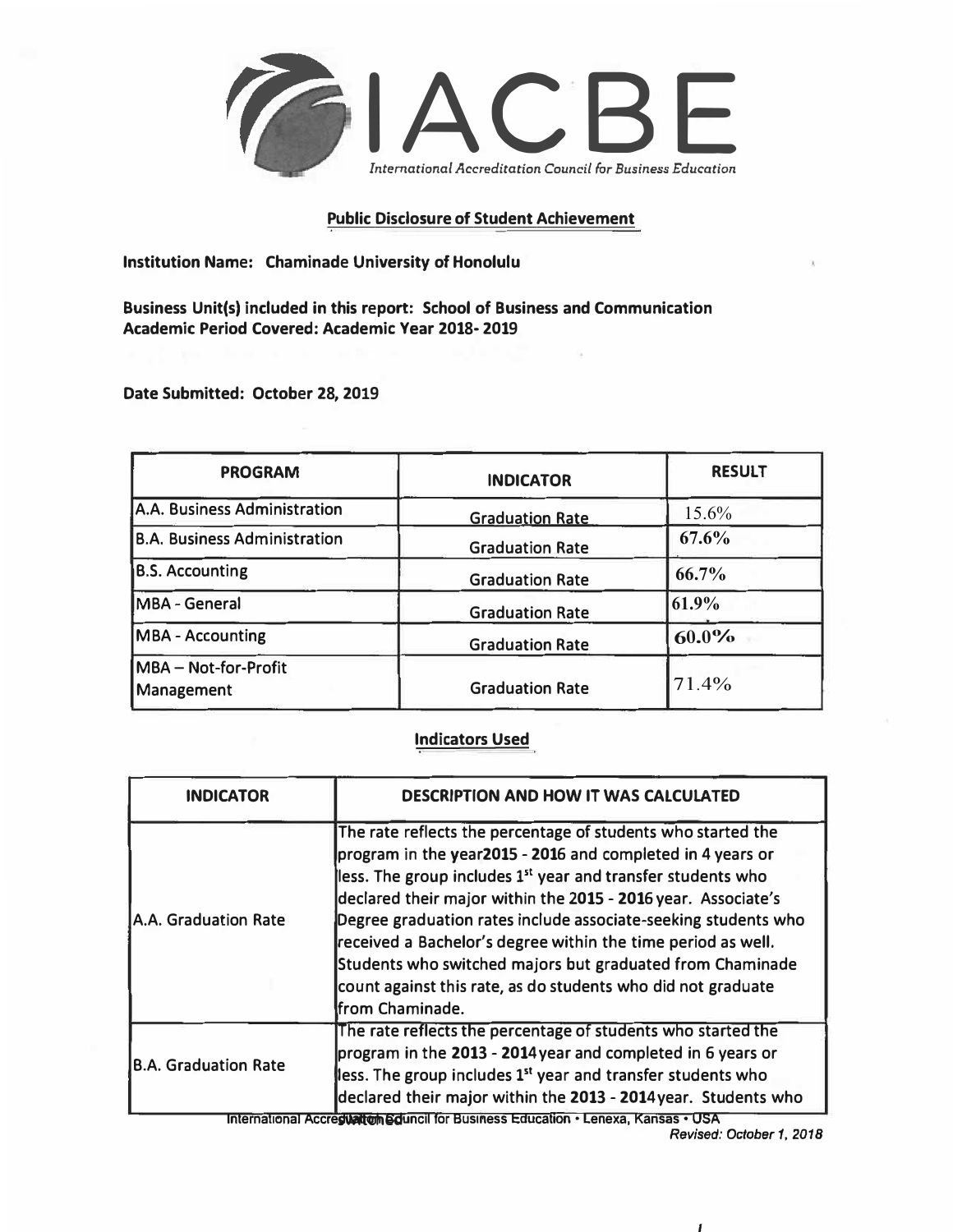

## **Public Disclosure of Student Achievement**

**Institution Name: Chaminade University of Honolulu** 

**Business Unit(s) included in this report: School of Business and Communication Academic Period Covered: Academic Year 2018- 2019**

**Date Submitted: October 28, 2019**

| <b>PROGRAM</b>                            | <b>INDICATOR</b>       | <b>RESULT</b> |
|-------------------------------------------|------------------------|---------------|
| A.A. Business Administration              | <b>Graduation Rate</b> | $15.6\%$      |
| <b>B.A. Business Administration</b>       | <b>Graduation Rate</b> | 67.6%         |
| <b>B.S. Accounting</b>                    | <b>Graduation Rate</b> | 66.7%         |
| <b>MBA - General</b>                      | <b>Graduation Rate</b> | 61.9%         |
| <b>MBA - Accounting</b>                   | <b>Graduation Rate</b> | $60.0\%$      |
| MBA - Not-for-Profit<br><b>Management</b> | <b>Graduation Rate</b> | 71.4%         |
|                                           |                        |               |

## **Indicators Used**

| <b>INDICATOR</b>                                                                                                                                                                                                                                                                                                                                                                             | <b>DESCRIPTION AND HOW IT WAS CALCULATED</b>                                                                                                                                                                                                                                                                                                                                                                                                                                                                                                             |
|----------------------------------------------------------------------------------------------------------------------------------------------------------------------------------------------------------------------------------------------------------------------------------------------------------------------------------------------------------------------------------------------|----------------------------------------------------------------------------------------------------------------------------------------------------------------------------------------------------------------------------------------------------------------------------------------------------------------------------------------------------------------------------------------------------------------------------------------------------------------------------------------------------------------------------------------------------------|
| A.A. Graduation Rate                                                                                                                                                                                                                                                                                                                                                                         | The rate reflects the percentage of students who started the<br>program in the year2015 - 2016 and completed in 4 years or<br>less. The group includes 1 <sup>st</sup> year and transfer students who<br>declared their major within the 2015 - 2016 year. Associate's<br>Degree graduation rates include associate-seeking students who<br>received a Bachelor's degree within the time period as well.<br>Students who switched majors but graduated from Chaminade<br>count against this rate, as do students who did not graduate<br>from Chaminade. |
| The rate reflects the percentage of students who started the<br>program in the 2013 - 2014 year and completed in 6 years or<br><b>B.A. Graduation Rate</b><br>less. The group includes 1 <sup>st</sup> year and transfer students who<br>declared their major within the 2013 - 2014 year. Students who<br>International Accrestiation Squncil for Business Education . Lenexa, Kansas . USA |                                                                                                                                                                                                                                                                                                                                                                                                                                                                                                                                                          |

*Revised: October 1, 2018*